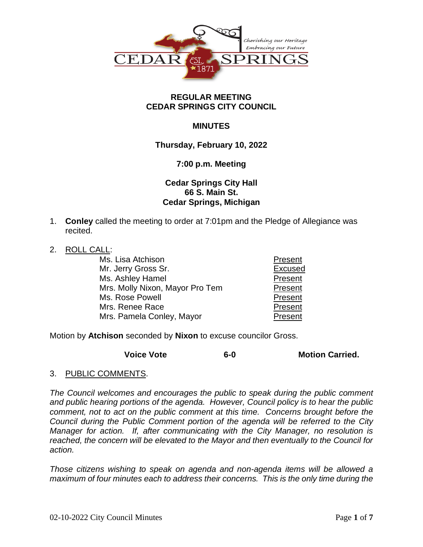

### **REGULAR MEETING CEDAR SPRINGS CITY COUNCIL**

## **MINUTES**

## **Thursday, February 10, 2022**

### **7:00 p.m. Meeting**

# **Cedar Springs City Hall 66 S. Main St. Cedar Springs, Michigan**

- 1. **Conley** called the meeting to order at 7:01pm and the Pledge of Allegiance was recited.
- 2. ROLL CALL:

| Ms. Lisa Atchison               | Present        |
|---------------------------------|----------------|
| Mr. Jerry Gross Sr.             | <b>Excused</b> |
| Ms. Ashley Hamel                | Present        |
| Mrs. Molly Nixon, Mayor Pro Tem | Present        |
| Ms. Rose Powell                 | Present        |
| Mrs. Renee Race                 | Present        |
| Mrs. Pamela Conley, Mayor       | Present        |

Motion by **Atchison** seconded by **Nixon** to excuse councilor Gross.

**Voice Vote 6-0 Motion Carried.**

3. PUBLIC COMMENTS.

*The Council welcomes and encourages the public to speak during the public comment and public hearing portions of the agenda. However, Council policy is to hear the public comment, not to act on the public comment at this time. Concerns brought before the Council during the Public Comment portion of the agenda will be referred to the City Manager for action. If, after communicating with the City Manager, no resolution is reached, the concern will be elevated to the Mayor and then eventually to the Council for action.*

*Those citizens wishing to speak on agenda and non-agenda items will be allowed a maximum of four minutes each to address their concerns. This is the only time during the*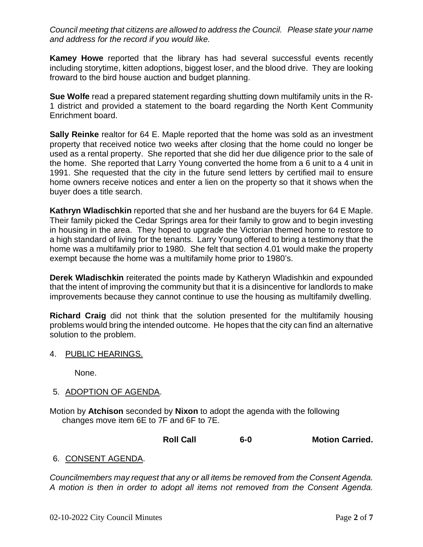*Council meeting that citizens are allowed to address the Council. Please state your name and address for the record if you would like.*

**Kamey Howe** reported that the library has had several successful events recently including storytime, kitten adoptions, biggest loser, and the blood drive. They are looking froward to the bird house auction and budget planning.

**Sue Wolfe** read a prepared statement regarding shutting down multifamily units in the R-1 district and provided a statement to the board regarding the North Kent Community Enrichment board.

**Sally Reinke** realtor for 64 E. Maple reported that the home was sold as an investment property that received notice two weeks after closing that the home could no longer be used as a rental property. She reported that she did her due diligence prior to the sale of the home. She reported that Larry Young converted the home from a 6 unit to a 4 unit in 1991. She requested that the city in the future send letters by certified mail to ensure home owners receive notices and enter a lien on the property so that it shows when the buyer does a title search.

**Kathryn Wladischkin** reported that she and her husband are the buyers for 64 E Maple. Their family picked the Cedar Springs area for their family to grow and to begin investing in housing in the area. They hoped to upgrade the Victorian themed home to restore to a high standard of living for the tenants. Larry Young offered to bring a testimony that the home was a multifamily prior to 1980. She felt that section 4.01 would make the property exempt because the home was a multifamily home prior to 1980's.

**Derek Wladischkin** reiterated the points made by Katheryn Wladishkin and expounded that the intent of improving the community but that it is a disincentive for landlords to make improvements because they cannot continue to use the housing as multifamily dwelling.

**Richard Craig** did not think that the solution presented for the multifamily housing problems would bring the intended outcome. He hopes that the city can find an alternative solution to the problem.

4. PUBLIC HEARINGS.

None.

- 5. ADOPTION OF AGENDA.
- Motion by **Atchison** seconded by **Nixon** to adopt the agenda with the following changes move item 6E to 7F and 6F to 7E.

| <b>Roll Call</b><br>6-0 | <b>Motion Carried.</b> |
|-------------------------|------------------------|
|-------------------------|------------------------|

# 6. CONSENT AGENDA.

*Councilmembers may request that any or all items be removed from the Consent Agenda. A motion is then in order to adopt all items not removed from the Consent Agenda.*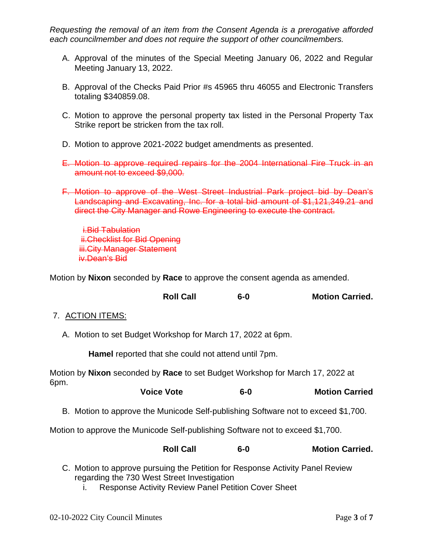*Requesting the removal of an item from the Consent Agenda is a prerogative afforded each councilmember and does not require the support of other councilmembers.*

- A. Approval of the minutes of the Special Meeting January 06, 2022 and Regular Meeting January 13, 2022.
- B. Approval of the Checks Paid Prior #s 45965 thru 46055 and Electronic Transfers totaling \$340859.08.
- C. Motion to approve the personal property tax listed in the Personal Property Tax Strike report be stricken from the tax roll.
- D. Motion to approve 2021-2022 budget amendments as presented.
- E. Motion to approve required repairs for the 2004 International Fire Truck in an amount not to exceed \$9,000.
- F. Motion to approve of the West Street Industrial Park project bid by Dean's Landscaping and Excavating, Inc. for a total bid amount of \$1,121,349.21 and direct the City Manager and Rowe Engineering to execute the contract.

i.Bid Tabulation ii.Checklist for Bid Opening **iii.City Manager Statement** iv.Dean's Bid

Motion by **Nixon** seconded by **Race** to approve the consent agenda as amended.

|  | <b>Roll Call</b> | $6-0$ | <b>Motion Carried.</b> |
|--|------------------|-------|------------------------|
|--|------------------|-------|------------------------|

- 7. ACTION ITEMS:
	- A. Motion to set Budget Workshop for March 17, 2022 at 6pm.

**Hamel** reported that she could not attend until 7pm.

Motion by **Nixon** seconded by **Race** to set Budget Workshop for March 17, 2022 at 6pm.

| <b>Motion Carried</b> |
|-----------------------|
|                       |

B. Motion to approve the Municode Self-publishing Software not to exceed \$1,700.

Motion to approve the Municode Self-publishing Software not to exceed \$1,700.

|  | <b>Roll Call</b> | 6-0 | <b>Motion Carried.</b> |
|--|------------------|-----|------------------------|
|--|------------------|-----|------------------------|

- C. Motion to approve pursuing the Petition for Response Activity Panel Review regarding the 730 West Street Investigation
	- i. Response Activity Review Panel Petition Cover Sheet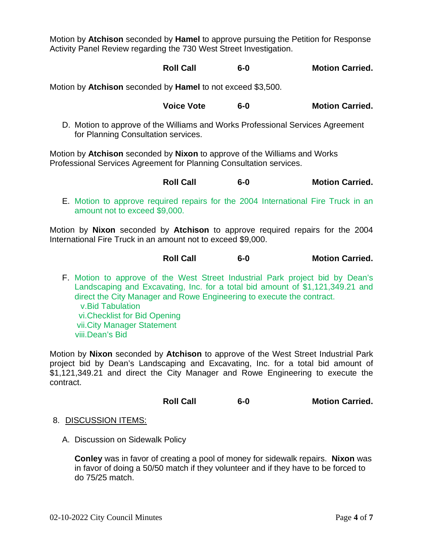Motion by **Atchison** seconded by **Hamel** to approve pursuing the Petition for Response Activity Panel Review regarding the 730 West Street Investigation.

**Roll Call 6-0 Motion Carried.**

Motion by **Atchison** seconded by **Hamel** to not exceed \$3,500.

**Voice Vote 6-0 Motion Carried.**

D. Motion to approve of the Williams and Works Professional Services Agreement for Planning Consultation services.

Motion by **Atchison** seconded by **Nixon** to approve of the Williams and Works Professional Services Agreement for Planning Consultation services.

**Roll Call 6-0 Motion Carried.**

E. Motion to approve required repairs for the 2004 International Fire Truck in an amount not to exceed \$9,000.

Motion by **Nixon** seconded by **Atchison** to approve required repairs for the 2004 International Fire Truck in an amount not to exceed \$9,000.

| <b>Roll Call</b><br>$6-0$ | <b>Motion Carried.</b> |
|---------------------------|------------------------|
|---------------------------|------------------------|

F. Motion to approve of the West Street Industrial Park project bid by Dean's Landscaping and Excavating, Inc. for a total bid amount of \$1,121,349.21 and direct the City Manager and Rowe Engineering to execute the contract. v.Bid Tabulation vi.Checklist for Bid Opening vii.City Manager Statement viii.Dean's Bid

Motion by **Nixon** seconded by **Atchison** to approve of the West Street Industrial Park project bid by Dean's Landscaping and Excavating, Inc. for a total bid amount of \$1,121,349.21 and direct the City Manager and Rowe Engineering to execute the contract.

| <b>Roll Call</b> | $6-0$ | <b>Motion Carried.</b> |
|------------------|-------|------------------------|
|------------------|-------|------------------------|

- 8. DISCUSSION ITEMS:
	- A. Discussion on Sidewalk Policy

**Conley** was in favor of creating a pool of money for sidewalk repairs. **Nixon** was in favor of doing a 50/50 match if they volunteer and if they have to be forced to do 75/25 match.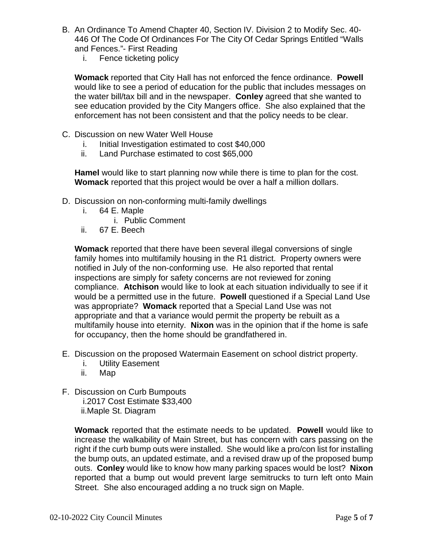- B. An Ordinance To Amend Chapter 40, Section IV. Division 2 to Modify Sec. 40- 446 Of The Code Of Ordinances For The City Of Cedar Springs Entitled "Walls and Fences."- First Reading
	- i. Fence ticketing policy

**Womack** reported that City Hall has not enforced the fence ordinance. **Powell** would like to see a period of education for the public that includes messages on the water bill/tax bill and in the newspaper. **Conley** agreed that she wanted to see education provided by the City Mangers office. She also explained that the enforcement has not been consistent and that the policy needs to be clear.

- C. Discussion on new Water Well House
	- i. Initial Investigation estimated to cost \$40,000
	- ii. Land Purchase estimated to cost \$65,000

**Hamel** would like to start planning now while there is time to plan for the cost. **Womack** reported that this project would be over a half a million dollars.

- D. Discussion on non-conforming multi-family dwellings
	- i. 64 E. Maple
		- i. Public Comment
	- ii. 67 E. Beech

**Womack** reported that there have been several illegal conversions of single family homes into multifamily housing in the R1 district. Property owners were notified in July of the non-conforming use. He also reported that rental inspections are simply for safety concerns are not reviewed for zoning compliance. **Atchison** would like to look at each situation individually to see if it would be a permitted use in the future. **Powell** questioned if a Special Land Use was appropriate? **Womack** reported that a Special Land Use was not appropriate and that a variance would permit the property be rebuilt as a multifamily house into eternity. **Nixon** was in the opinion that if the home is safe for occupancy, then the home should be grandfathered in.

- E. Discussion on the proposed Watermain Easement on school district property.
	- i. Utility Easement
	- ii. Map
- F. Discussion on Curb Bumpouts i.2017 Cost Estimate \$33,400
	- ii.Maple St. Diagram

**Womack** reported that the estimate needs to be updated. **Powell** would like to increase the walkability of Main Street, but has concern with cars passing on the right if the curb bump outs were installed. She would like a pro/con list for installing the bump outs, an updated estimate, and a revised draw up of the proposed bump outs. **Conley** would like to know how many parking spaces would be lost? **Nixon** reported that a bump out would prevent large semitrucks to turn left onto Main Street. She also encouraged adding a no truck sign on Maple.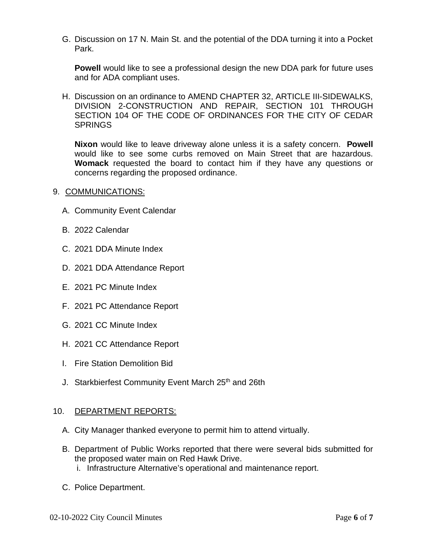G. Discussion on 17 N. Main St. and the potential of the DDA turning it into a Pocket Park.

**Powell** would like to see a professional design the new DDA park for future uses and for ADA compliant uses.

H. Discussion on an ordinance to AMEND CHAPTER 32, ARTICLE III-SIDEWALKS, DIVISION 2-CONSTRUCTION AND REPAIR, SECTION 101 THROUGH SECTION 104 OF THE CODE OF ORDINANCES FOR THE CITY OF CEDAR SPRINGS

**Nixon** would like to leave driveway alone unless it is a safety concern. **Powell** would like to see some curbs removed on Main Street that are hazardous. **Womack** requested the board to contact him if they have any questions or concerns regarding the proposed ordinance.

- 9. COMMUNICATIONS:
	- A. Community Event Calendar
	- B. 2022 Calendar
	- C. 2021 DDA Minute Index
	- D. 2021 DDA Attendance Report
	- E. 2021 PC Minute Index
	- F. 2021 PC Attendance Report
	- G. 2021 CC Minute Index
	- H. 2021 CC Attendance Report
	- I. Fire Station Demolition Bid
	- J. Starkbierfest Community Event March 25<sup>th</sup> and 26th

#### 10. DEPARTMENT REPORTS:

- A. City Manager thanked everyone to permit him to attend virtually.
- B. Department of Public Works reported that there were several bids submitted for the proposed water main on Red Hawk Drive.
	- i. Infrastructure Alternative's operational and maintenance report.
- C. Police Department.